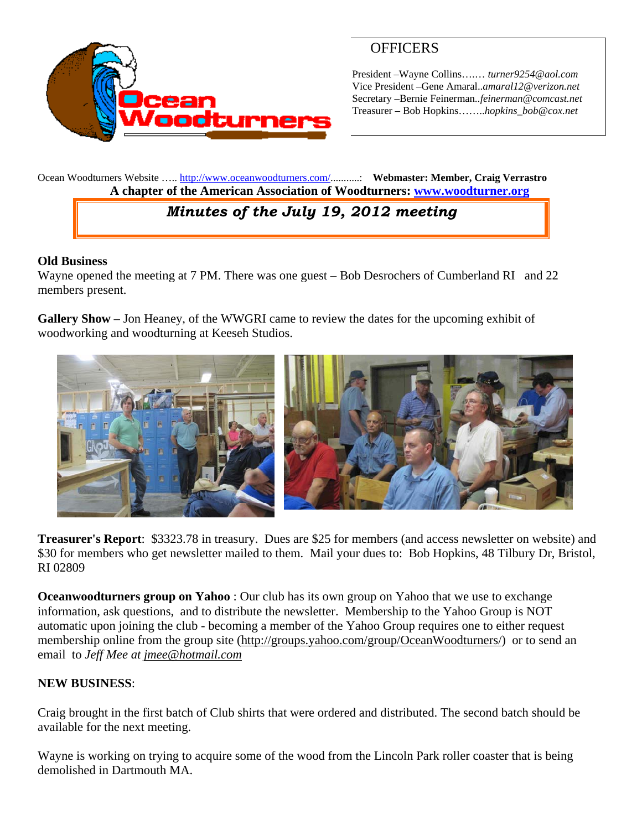

# **OFFICERS**

President –Wayne Collins….… *turner9254@aol.com*  Vice President –Gene Amaral..*amaral12@verizon.net* Secretary –Bernie Feinerman*..feinerman@comcast.net*  Treasurer – Bob Hopkins……..*hopkins\_bob@cox.net*

Ocean Woodturners Website ….. http://www.oceanwoodturners.com/...........: **Webmaster: Member, Craig Verrastro A chapter of the American Association of Woodturners: www.woodturner.org** 

# *Minutes of the July 19, 2012 meeting*

#### **Old Business**

Wayne opened the meeting at 7 PM. There was one guest – Bob Desrochers of Cumberland RI and 22 members present.

**Gallery Show** – Jon Heaney, of the WWGRI came to review the dates for the upcoming exhibit of woodworking and woodturning at Keeseh Studios.



**Treasurer's Report**: \$3323.78 in treasury. Dues are \$25 for members (and access newsletter on website) and \$30 for members who get newsletter mailed to them. Mail your dues to: Bob Hopkins, 48 Tilbury Dr, Bristol, RI 02809

**Oceanwoodturners group on Yahoo** : Our club has its own group on Yahoo that we use to exchange information, ask questions, and to distribute the newsletter. Membership to the Yahoo Group is NOT automatic upon joining the club - becoming a member of the Yahoo Group requires one to either request membership online from the group site (http://groups.yahoo.com/group/OceanWoodturners/) or to send an email to *Jeff Mee at jmee@hotmail.com*

#### **NEW BUSINESS**:

Craig brought in the first batch of Club shirts that were ordered and distributed. The second batch should be available for the next meeting.

Wayne is working on trying to acquire some of the wood from the Lincoln Park roller coaster that is being demolished in Dartmouth MA.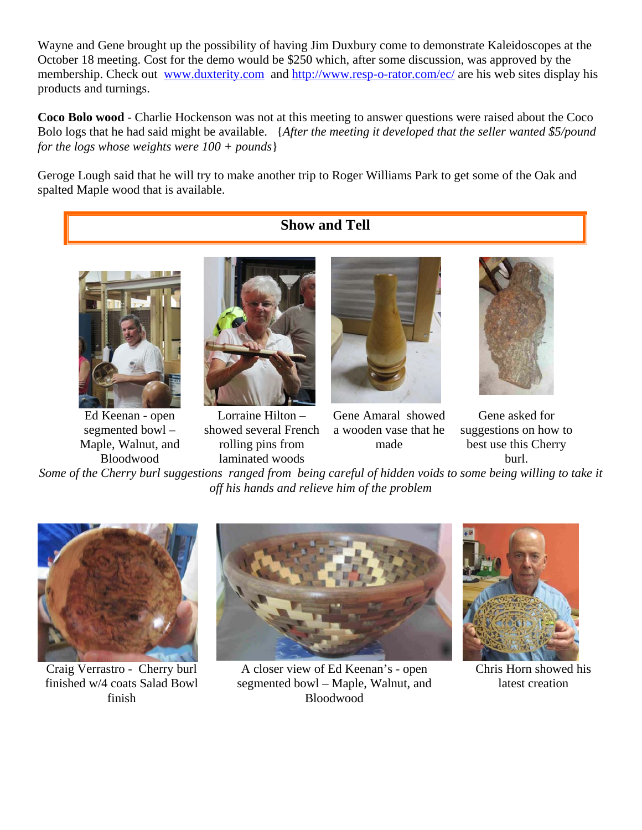Wayne and Gene brought up the possibility of having Jim Duxbury come to demonstrate Kaleidoscopes at the October 18 meeting. Cost for the demo would be \$250 which, after some discussion, was approved by the membership. Check out www.duxterity.com and http://www.resp-o-rator.com/ec/ are his web sites display his products and turnings.

**Coco Bolo wood** - Charlie Hockenson was not at this meeting to answer questions were raised about the Coco Bolo logs that he had said might be available. {*After the meeting it developed that the seller wanted \$5/pound for the logs whose weights were 100 + pounds*}

Geroge Lough said that he will try to make another trip to Roger Williams Park to get some of the Oak and spalted Maple wood that is available.

## **Show and Tell**



Ed Keenan - open segmented bowl – Maple, Walnut, and Bloodwood



Lorraine Hilton – showed several French rolling pins from laminated woods



Gene Amaral showed a wooden vase that he made



Gene asked for suggestions on how to best use this Cherry burl.

*Some of the Cherry burl suggestions ranged from being careful of hidden voids to some being willing to take it off his hands and relieve him of the problem* 



Craig Verrastro - Cherry burl finished w/4 coats Salad Bowl finish



A closer view of Ed Keenan's - open segmented bowl – Maple, Walnut, and Bloodwood



Chris Horn showed his latest creation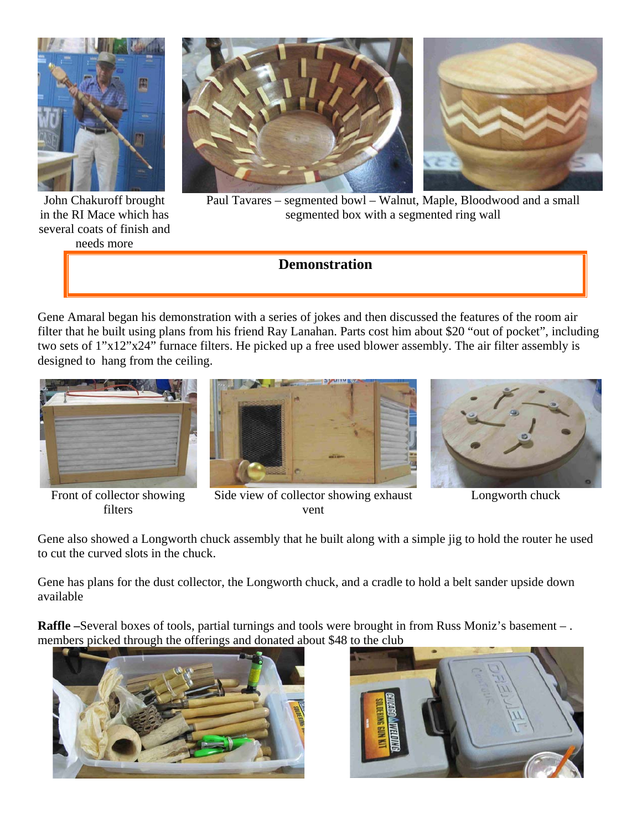

John Chakuroff brought in the RI Mace which has several coats of finish and

needs more



Paul Tavares – segmented bowl – Walnut, Maple, Bloodwood and a small segmented box with a segmented ring wall

## **Demonstration**

Gene Amaral began his demonstration with a series of jokes and then discussed the features of the room air filter that he built using plans from his friend Ray Lanahan. Parts cost him about \$20 "out of pocket", including two sets of 1"x12"x24" furnace filters. He picked up a free used blower assembly. The air filter assembly is designed to hang from the ceiling.



Front of collector showing filters



Side view of collector showing exhaust vent



Longworth chuck

Gene also showed a Longworth chuck assembly that he built along with a simple jig to hold the router he used to cut the curved slots in the chuck.

Gene has plans for the dust collector, the Longworth chuck, and a cradle to hold a belt sander upside down available

**Raffle –**Several boxes of tools, partial turnings and tools were brought in from Russ Moniz's basement – . members picked through the offerings and donated about \$48 to the club